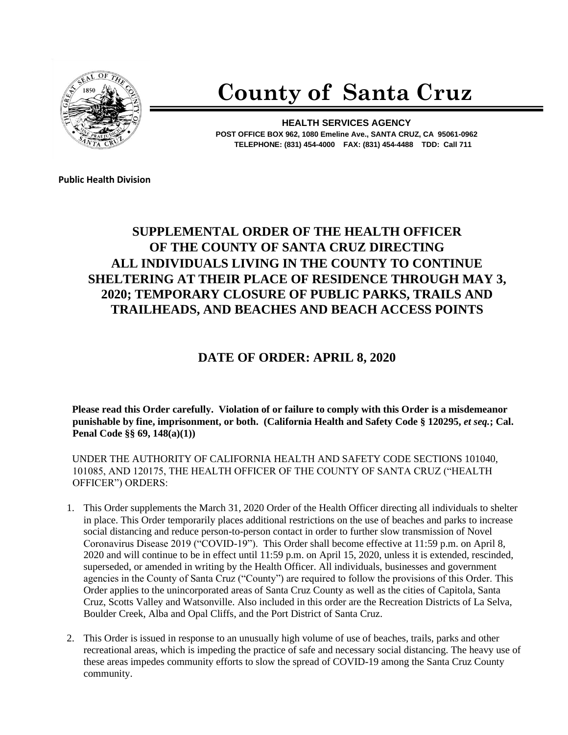

## **County of Santa Cruz**

**HEALTH SERVICES AGENCY POST OFFICE BOX 962, 1080 Emeline Ave., SANTA CRUZ, CA 95061-0962 TELEPHONE: (831) 454-4000 FAX: (831) 454-4488 TDD: Call 711**

**Public Health Division** 

## **SUPPLEMENTAL ORDER OF THE HEALTH OFFICER OF THE COUNTY OF SANTA CRUZ DIRECTING ALL INDIVIDUALS LIVING IN THE COUNTY TO CONTINUE SHELTERING AT THEIR PLACE OF RESIDENCE THROUGH MAY 3, 2020; TEMPORARY CLOSURE OF PUBLIC PARKS, TRAILS AND TRAILHEADS, AND BEACHES AND BEACH ACCESS POINTS**

## **DATE OF ORDER: APRIL 8, 2020**

**Please read this Order carefully. Violation of or failure to comply with this Order is a misdemeanor punishable by fine, imprisonment, or both. (California Health and Safety Code § 120295,** *et seq.***; Cal. Penal Code §§ 69, 148(a)(1))**

UNDER THE AUTHORITY OF CALIFORNIA HEALTH AND SAFETY CODE SECTIONS 101040, 101085, AND 120175, THE HEALTH OFFICER OF THE COUNTY OF SANTA CRUZ ("HEALTH OFFICER") ORDERS:

- 1. This Order supplements the March 31, 2020 Order of the Health Officer directing all individuals to shelter in place. This Order temporarily places additional restrictions on the use of beaches and parks to increase social distancing and reduce person-to-person contact in order to further slow transmission of Novel Coronavirus Disease 2019 ("COVID-19"). This Order shall become effective at 11:59 p.m. on April 8, 2020 and will continue to be in effect until 11:59 p.m. on April 15, 2020, unless it is extended, rescinded, superseded, or amended in writing by the Health Officer. All individuals, businesses and government agencies in the County of Santa Cruz ("County") are required to follow the provisions of this Order. This Order applies to the unincorporated areas of Santa Cruz County as well as the cities of Capitola, Santa Cruz, Scotts Valley and Watsonville. Also included in this order are the Recreation Districts of La Selva, Boulder Creek, Alba and Opal Cliffs, and the Port District of Santa Cruz.
- 2. This Order is issued in response to an unusually high volume of use of beaches, trails, parks and other recreational areas, which is impeding the practice of safe and necessary social distancing. The heavy use of these areas impedes community efforts to slow the spread of COVID-19 among the Santa Cruz County community.